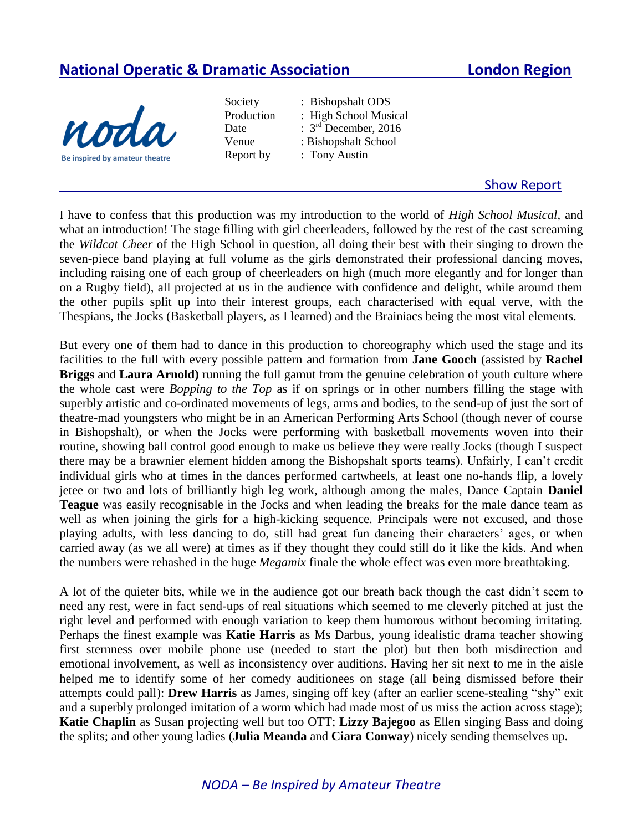## **National Operatic & Dramatic Association London Region**



- Society : Bishopshalt ODS Date Report by : Tony Austin
	- Production : High School Musical  $\therefore$  3<sup>rd</sup> December, 2016 Venue : Bishopshalt School

## Show Report

I have to confess that this production was my introduction to the world of *High School Musical*, and what an introduction! The stage filling with girl cheerleaders, followed by the rest of the cast screaming the *Wildcat Cheer* of the High School in question, all doing their best with their singing to drown the seven-piece band playing at full volume as the girls demonstrated their professional dancing moves, including raising one of each group of cheerleaders on high (much more elegantly and for longer than on a Rugby field), all projected at us in the audience with confidence and delight, while around them the other pupils split up into their interest groups, each characterised with equal verve, with the Thespians, the Jocks (Basketball players, as I learned) and the Brainiacs being the most vital elements.

But every one of them had to dance in this production to choreography which used the stage and its facilities to the full with every possible pattern and formation from **Jane Gooch** (assisted by **Rachel Briggs** and **Laura Arnold)** running the full gamut from the genuine celebration of youth culture where the whole cast were *Bopping to the Top* as if on springs or in other numbers filling the stage with superbly artistic and co-ordinated movements of legs, arms and bodies, to the send-up of just the sort of theatre-mad youngsters who might be in an American Performing Arts School (though never of course in Bishopshalt), or when the Jocks were performing with basketball movements woven into their routine, showing ball control good enough to make us believe they were really Jocks (though I suspect there may be a brawnier element hidden among the Bishopshalt sports teams). Unfairly, I can't credit individual girls who at times in the dances performed cartwheels, at least one no-hands flip, a lovely jetee or two and lots of brilliantly high leg work, although among the males, Dance Captain **Daniel Teague** was easily recognisable in the Jocks and when leading the breaks for the male dance team as well as when joining the girls for a high-kicking sequence. Principals were not excused, and those playing adults, with less dancing to do, still had great fun dancing their characters' ages, or when carried away (as we all were) at times as if they thought they could still do it like the kids. And when the numbers were rehashed in the huge *Megamix* finale the whole effect was even more breathtaking.

A lot of the quieter bits, while we in the audience got our breath back though the cast didn't seem to need any rest, were in fact send-ups of real situations which seemed to me cleverly pitched at just the right level and performed with enough variation to keep them humorous without becoming irritating. Perhaps the finest example was **Katie Harris** as Ms Darbus, young idealistic drama teacher showing first sternness over mobile phone use (needed to start the plot) but then both misdirection and emotional involvement, as well as inconsistency over auditions. Having her sit next to me in the aisle helped me to identify some of her comedy auditionees on stage (all being dismissed before their attempts could pall): **Drew Harris** as James, singing off key (after an earlier scene-stealing "shy" exit and a superbly prolonged imitation of a worm which had made most of us miss the action across stage); **Katie Chaplin** as Susan projecting well but too OTT; **Lizzy Bajegoo** as Ellen singing Bass and doing the splits; and other young ladies (**Julia Meanda** and **Ciara Conway**) nicely sending themselves up.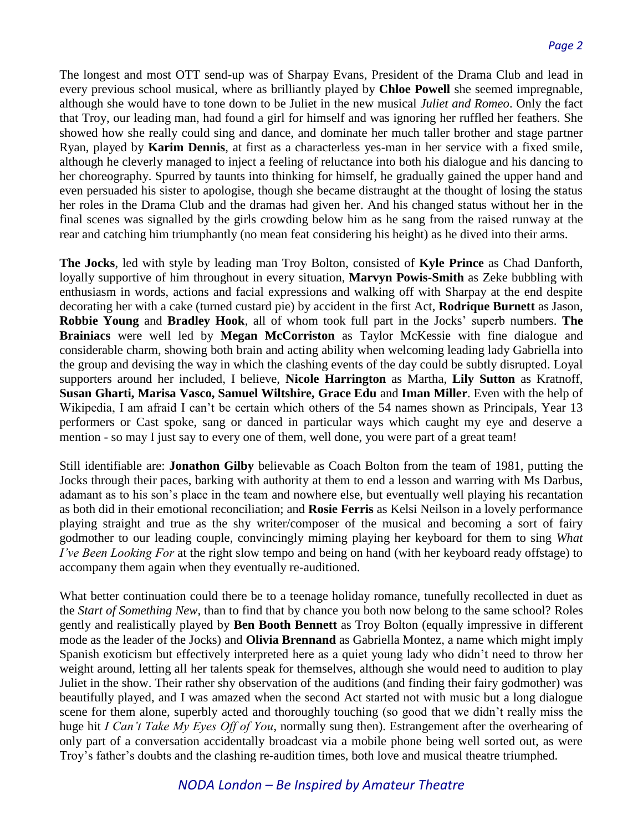The longest and most OTT send-up was of Sharpay Evans, President of the Drama Club and lead in every previous school musical, where as brilliantly played by **Chloe Powell** she seemed impregnable, although she would have to tone down to be Juliet in the new musical *Juliet and Romeo*. Only the fact that Troy, our leading man, had found a girl for himself and was ignoring her ruffled her feathers. She showed how she really could sing and dance, and dominate her much taller brother and stage partner Ryan, played by **Karim Dennis**, at first as a characterless yes-man in her service with a fixed smile, although he cleverly managed to inject a feeling of reluctance into both his dialogue and his dancing to her choreography. Spurred by taunts into thinking for himself, he gradually gained the upper hand and even persuaded his sister to apologise, though she became distraught at the thought of losing the status her roles in the Drama Club and the dramas had given her. And his changed status without her in the final scenes was signalled by the girls crowding below him as he sang from the raised runway at the rear and catching him triumphantly (no mean feat considering his height) as he dived into their arms.

**The Jocks**, led with style by leading man Troy Bolton, consisted of **Kyle Prince** as Chad Danforth, loyally supportive of him throughout in every situation, **Marvyn Powis-Smith** as Zeke bubbling with enthusiasm in words, actions and facial expressions and walking off with Sharpay at the end despite decorating her with a cake (turned custard pie) by accident in the first Act, **Rodrique Burnett** as Jason, **Robbie Young** and **Bradley Hook**, all of whom took full part in the Jocks' superb numbers. **The Brainiacs** were well led by **Megan McCorriston** as Taylor McKessie with fine dialogue and considerable charm, showing both brain and acting ability when welcoming leading lady Gabriella into the group and devising the way in which the clashing events of the day could be subtly disrupted. Loyal supporters around her included, I believe, **Nicole Harrington** as Martha, **Lily Sutton** as Kratnoff, **Susan Gharti, Marisa Vasco, Samuel Wiltshire, Grace Edu** and **Iman Miller**. Even with the help of Wikipedia, I am afraid I can't be certain which others of the 54 names shown as Principals, Year 13 performers or Cast spoke, sang or danced in particular ways which caught my eye and deserve a mention - so may I just say to every one of them, well done, you were part of a great team!

Still identifiable are: **Jonathon Gilby** believable as Coach Bolton from the team of 1981, putting the Jocks through their paces, barking with authority at them to end a lesson and warring with Ms Darbus, adamant as to his son's place in the team and nowhere else, but eventually well playing his recantation as both did in their emotional reconciliation; and **Rosie Ferris** as Kelsi Neilson in a lovely performance playing straight and true as the shy writer/composer of the musical and becoming a sort of fairy godmother to our leading couple, convincingly miming playing her keyboard for them to sing *What I've Been Looking For* at the right slow tempo and being on hand (with her keyboard ready offstage) to accompany them again when they eventually re-auditioned.

What better continuation could there be to a teenage holiday romance, tunefully recollected in duet as the *Start of Something New,* than to find that by chance you both now belong to the same school? Roles gently and realistically played by **Ben Booth Bennett** as Troy Bolton (equally impressive in different mode as the leader of the Jocks) and **Olivia Brennand** as Gabriella Montez, a name which might imply Spanish exoticism but effectively interpreted here as a quiet young lady who didn't need to throw her weight around, letting all her talents speak for themselves, although she would need to audition to play Juliet in the show. Their rather shy observation of the auditions (and finding their fairy godmother) was beautifully played, and I was amazed when the second Act started not with music but a long dialogue scene for them alone, superbly acted and thoroughly touching (so good that we didn't really miss the huge hit *I Can't Take My Eyes Off of You*, normally sung then). Estrangement after the overhearing of only part of a conversation accidentally broadcast via a mobile phone being well sorted out, as were Troy's father's doubts and the clashing re-audition times, both love and musical theatre triumphed.

## *NODA London – Be Inspired by Amateur Theatre*